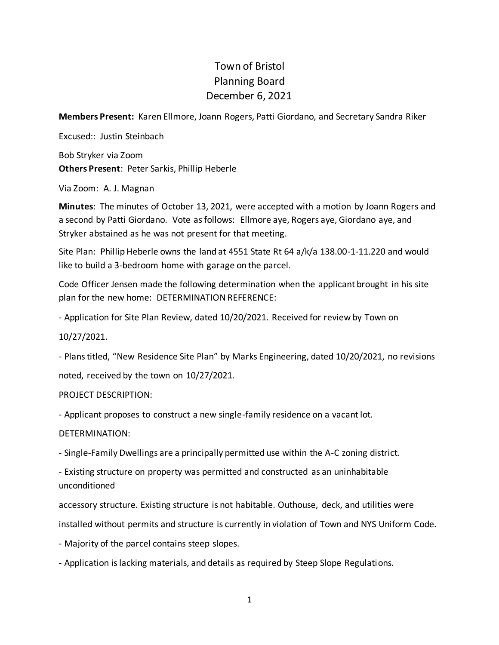## Town of Bristol Planning Board December 6, 2021

**Members Present:** Karen Ellmore, Joann Rogers, Patti Giordano, and Secretary Sandra Riker

Excused:: Justin Steinbach Bob Stryker via Zoom **Others Present**: Peter Sarkis, Phillip Heberle

Via Zoom: A. J. Magnan

**Minutes**: The minutes of October 13, 2021, were accepted with a motion by Joann Rogers and a second by Patti Giordano. Vote as follows: Ellmore aye, Rogers aye, Giordano aye, and Stryker abstained as he was not present for that meeting.

Site Plan: Phillip Heberle owns the land at 4551 State Rt 64 a/k/a 138.00-1-11.220 and would like to build a 3-bedroom home with garage on the parcel.

Code Officer Jensen made the following determination when the applicant brought in his site plan for the new home: DETERMINATION REFERENCE:

- Application for Site Plan Review, dated 10/20/2021. Received for review by Town on

10/27/2021.

- Plans titled, "New Residence Site Plan" by Marks Engineering, dated 10/20/2021, no revisions noted, received by the town on 10/27/2021.

PROJECT DESCRIPTION:

- Applicant proposes to construct a new single-family residence on a vacant lot.

DETERMINATION:

- Single-Family Dwellings are a principally permitted use within the A-C zoning district.

- Existing structure on property was permitted and constructed as an uninhabitable unconditioned

accessory structure. Existing structure is not habitable. Outhouse, deck, and utilities were

installed without permits and structure is currently in violation of Town and NYS Uniform Code.

- Majority of the parcel contains steep slopes.

- Application is lacking materials, and details as required by Steep Slope Regulations.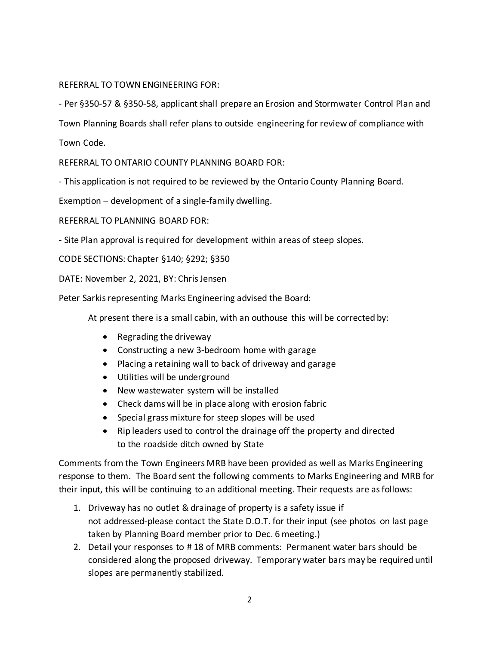## REFERRAL TO TOWN ENGINEERING FOR:

- Per §350-57 & §350-58, applicant shall prepare an Erosion and Stormwater Control Plan and

Town Planning Boards shall refer plans to outside engineering for review of compliance with

Town Code.

REFERRAL TO ONTARIO COUNTY PLANNING BOARD FOR:

- This application is not required to be reviewed by the Ontario County Planning Board.

Exemption – development of a single-family dwelling.

REFERRAL TO PLANNING BOARD FOR:

- Site Plan approval is required for development within areas of steep slopes.

CODE SECTIONS: Chapter §140; §292; §350

DATE: November 2, 2021, BY: Chris Jensen

Peter Sarkis representing Marks Engineering advised the Board:

At present there is a small cabin, with an outhouse this will be corrected by:

- Regrading the driveway
- Constructing a new 3-bedroom home with garage
- Placing a retaining wall to back of driveway and garage
- Utilities will be underground
- New wastewater system will be installed
- Check dams will be in place along with erosion fabric
- Special grass mixture for steep slopes will be used
- Rip leaders used to control the drainage off the property and directed to the roadside ditch owned by State

Comments from the Town Engineers MRB have been provided as well as Marks Engineering response to them. The Board sent the following comments to Marks Engineering and MRB for their input, this will be continuing to an additional meeting. Their requests are as follows:

- 1. Driveway has no outlet & drainage of property is a safety issue if not addressed-please contact the State D.O.T. for their input (see photos on last page taken by Planning Board member prior to Dec. 6 meeting.)
- 2. Detail your responses to # 18 of MRB comments: Permanent water bars should be considered along the proposed driveway. Temporary water bars may be required until slopes are permanently stabilized.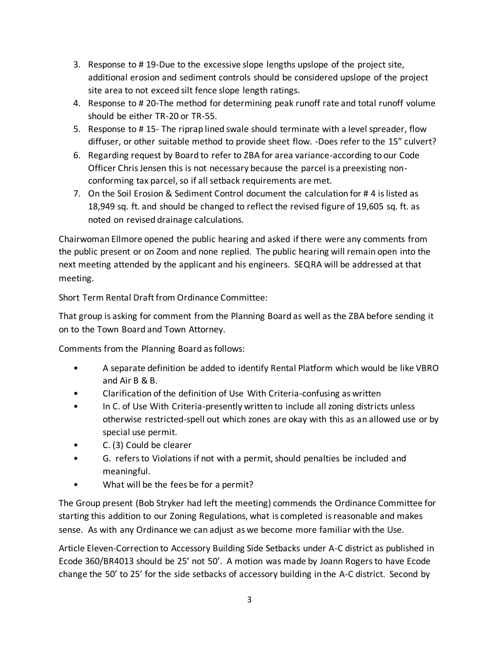- 3. Response to # 19-Due to the excessive slope lengths upslope of the project site, additional erosion and sediment controls should be considered upslope of the project site area to not exceed silt fence slope length ratings.
- 4. Response to # 20-The method for determining peak runoff rate and total runoff volume should be either TR-20 or TR-55.
- 5. Response to # 15- The riprap lined swale should terminate with a level spreader, flow diffuser, or other suitable method to provide sheet flow. -Does refer to the 15" culvert?
- 6. Regarding request by Board to refer to ZBA for area variance-according to our Code Officer Chris Jensen this is not necessary because the parcel is a preexisting nonconforming tax parcel, so if all setback requirements are met.
- 7. On the Soil Erosion & Sediment Control document the calculation for # 4 is listed as 18,949 sq. ft. and should be changed to reflect the revised figure of 19,605 sq. ft. as noted on revised drainage calculations.

Chairwoman Ellmore opened the public hearing and asked if there were any comments from the public present or on Zoom and none replied. The public hearing will remain open into the next meeting attended by the applicant and his engineers. SEQRA will be addressed at that meeting.

Short Term Rental Draft from Ordinance Committee:

That group is asking for comment from the Planning Board as well as the ZBA before sending it on to the Town Board and Town Attorney.

Comments from the Planning Board as follows:

- A separate definition be added to identify Rental Platform which would be like VBRO and Air B & B.
- Clarification of the definition of Use With Criteria-confusing as written
- In C. of Use With Criteria-presently written to include all zoning districts unless otherwise restricted-spell out which zones are okay with this as an allowed use or by special use permit.
- C. (3) Could be clearer
- G. refers to Violations if not with a permit, should penalties be included and meaningful.
- What will be the fees be for a permit?

The Group present (Bob Stryker had left the meeting) commends the Ordinance Committee for starting this addition to our Zoning Regulations, what is completed is reasonable and makes sense. As with any Ordinance we can adjust as we become more familiar with the Use.

Article Eleven-Correction to Accessory Building Side Setbacks under A-C district as published in Ecode 360/BR4013 should be 25' not 50'. A motion was made by Joann Rogers to have Ecode change the 50' to 25' for the side setbacks of accessory building in the A-C district. Second by